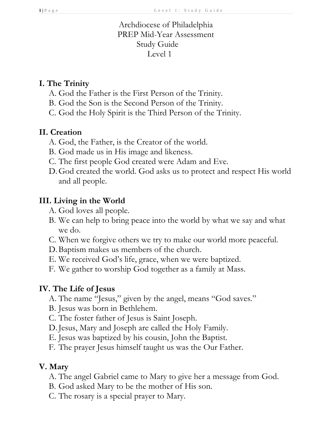## Archdiocese of Philadelphia PREP Mid-Year Assessment Study Guide Level 1

### **I. The Trinity**

- A. God the Father is the First Person of the Trinity.
- B. God the Son is the Second Person of the Trinity.
- C. God the Holy Spirit is the Third Person of the Trinity.

### **II. Creation**

- A. God, the Father, is the Creator of the world.
- B. God made us in His image and likeness.
- C. The first people God created were Adam and Eve.
- D.God created the world. God asks us to protect and respect His world and all people.

### **III. Living in the World**

- A. God loves all people.
- B. We can help to bring peace into the world by what we say and what we do.
- C. When we forgive others we try to make our world more peaceful.
- D.Baptism makes us members of the church.
- E. We received God's life, grace, when we were baptized.
- F. We gather to worship God together as a family at Mass.

## **IV. The Life of Jesus**

- A. The name "Jesus," given by the angel, means "God saves."
- B. Jesus was born in Bethlehem.
- C. The foster father of Jesus is Saint Joseph.
- D. Jesus, Mary and Joseph are called the Holy Family.
- E. Jesus was baptized by his cousin, John the Baptist.
- F. The prayer Jesus himself taught us was the Our Father.

# **V. Mary**

- A. The angel Gabriel came to Mary to give her a message from God.
- B. God asked Mary to be the mother of His son.
- C. The rosary is a special prayer to Mary.